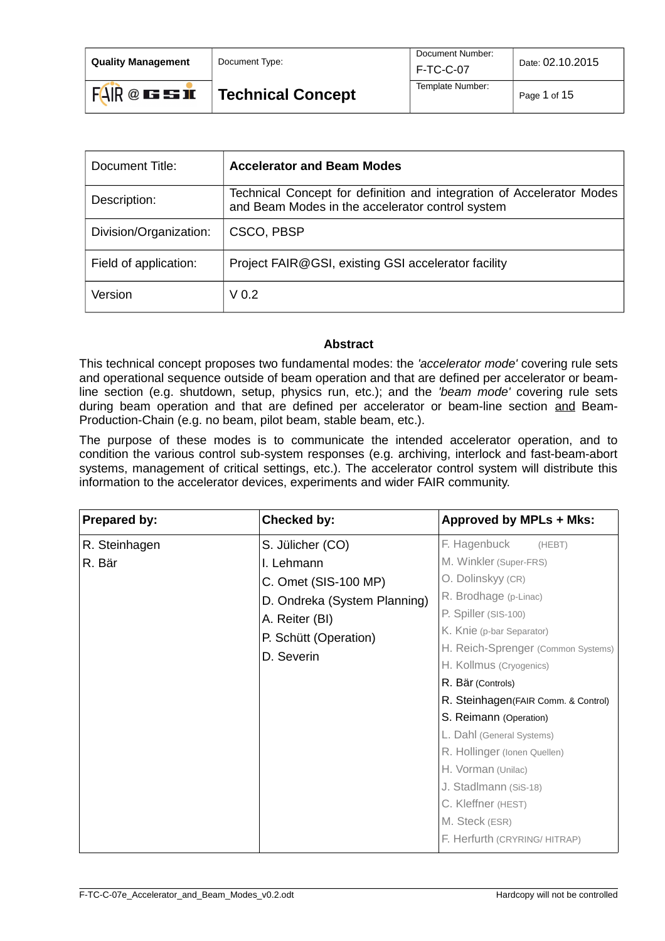| <b>Ouality Management</b> | Document Type:           | Document Number:<br>F-TC-C-07 | Date: 02.10.2015 |  |
|---------------------------|--------------------------|-------------------------------|------------------|--|
| $FAIR@$ is so in          | <b>Technical Concept</b> | Template Number:              | Page 1 of 15     |  |

| Document Title:        | <b>Accelerator and Beam Modes</b>                                                                                         |
|------------------------|---------------------------------------------------------------------------------------------------------------------------|
| Description:           | Technical Concept for definition and integration of Accelerator Modes<br>and Beam Modes in the accelerator control system |
| Division/Organization: | CSCO, PBSP                                                                                                                |
| Field of application:  | Project FAIR@GSI, existing GSI accelerator facility                                                                       |
| Version                | V <sub>0.2</sub>                                                                                                          |

#### **Abstract**

This technical concept proposes two fundamental modes: the *'accelerator mode'* covering rule sets and operational sequence outside of beam operation and that are defined per accelerator or beamline section (e.g. shutdown, setup, physics run, etc.); and the *'beam mode'* covering rule sets during beam operation and that are defined per accelerator or beam-line section and Beam-Production-Chain (e.g. no beam, pilot beam, stable beam, etc.).

The purpose of these modes is to communicate the intended accelerator operation, and to condition the various control sub-system responses (e.g. archiving, interlock and fast-beam-abort systems, management of critical settings, etc.). The accelerator control system will distribute this information to the accelerator devices, experiments and wider FAIR community.

| <b>Prepared by:</b>     | Checked by:                                                                                                                                     | <b>Approved by MPLs + Mks:</b>                                                                                                                                                                                                                                                                                                                                                                                                                                                                   |
|-------------------------|-------------------------------------------------------------------------------------------------------------------------------------------------|--------------------------------------------------------------------------------------------------------------------------------------------------------------------------------------------------------------------------------------------------------------------------------------------------------------------------------------------------------------------------------------------------------------------------------------------------------------------------------------------------|
| R. Steinhagen<br>R. Bär | S. Jülicher (CO)<br>I. Lehmann<br>C. Omet (SIS-100 MP)<br>D. Ondreka (System Planning)<br>A. Reiter (BI)<br>P. Schütt (Operation)<br>D. Severin | F. Hagenbuck<br>(HEBT)<br>M. Winkler (Super-FRS)<br>O. Dolinskyy (CR)<br>R. Brodhage (p-Linac)<br>P. Spiller (SIS-100)<br>K. Knie (p-bar Separator)<br>H. Reich-Sprenger (Common Systems)<br>H. Kollmus (Cryogenics)<br>R. Bär (Controls)<br>R. Steinhagen (FAIR Comm. & Control)<br>S. Reimann (Operation)<br>L. Dahl (General Systems)<br>R. Hollinger (Ionen Quellen)<br>H. Vorman (Unilac)<br>J. Stadlmann (sis-18)<br>C. Kleffner (HEST)<br>M. Steck (ESR)<br>F. Herfurth (CRYRING/ HITRAP) |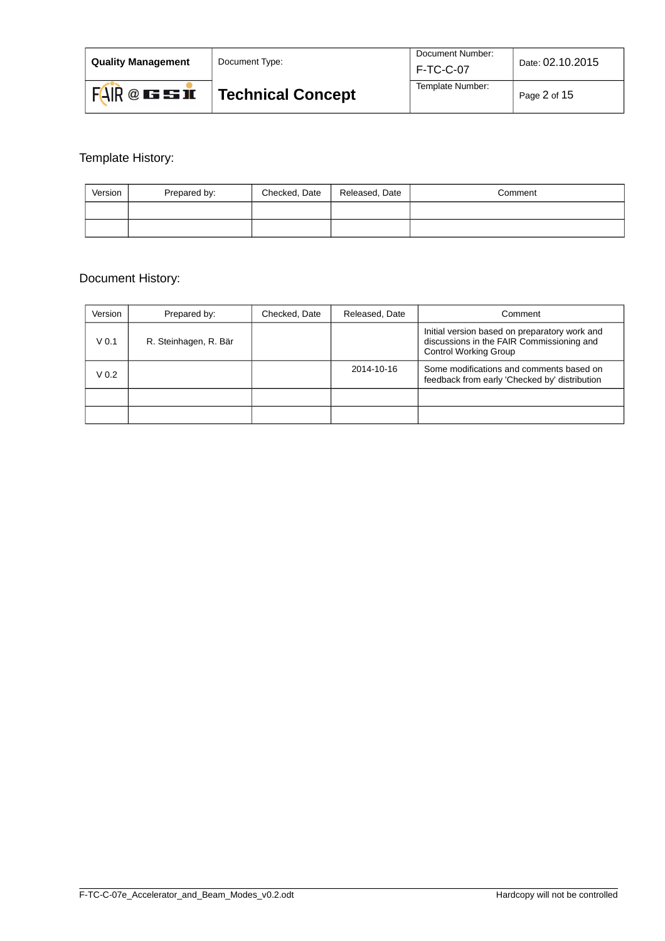| <b>Quality Management</b> | Document Type:           | Document Number:<br>F-TC-C-07 | Date: 02.10.2015 |
|---------------------------|--------------------------|-------------------------------|------------------|
| FAR @EBE                  | <b>Technical Concept</b> | Template Number:              | Page 2 of 15     |

# Template History:

| Version | Prepared by: | Checked, Date | Released, Date | Comment |
|---------|--------------|---------------|----------------|---------|
|         |              |               |                |         |
|         |              |               |                |         |

# Document History:

| Version          | Prepared by:          | Checked, Date | Released, Date | Comment                                                                                                                    |
|------------------|-----------------------|---------------|----------------|----------------------------------------------------------------------------------------------------------------------------|
| V <sub>0.1</sub> | R. Steinhagen, R. Bär |               |                | Initial version based on preparatory work and<br>discussions in the FAIR Commissioning and<br><b>Control Working Group</b> |
| V <sub>0.2</sub> |                       |               | 2014-10-16     | Some modifications and comments based on<br>feedback from early 'Checked by' distribution                                  |
|                  |                       |               |                |                                                                                                                            |
|                  |                       |               |                |                                                                                                                            |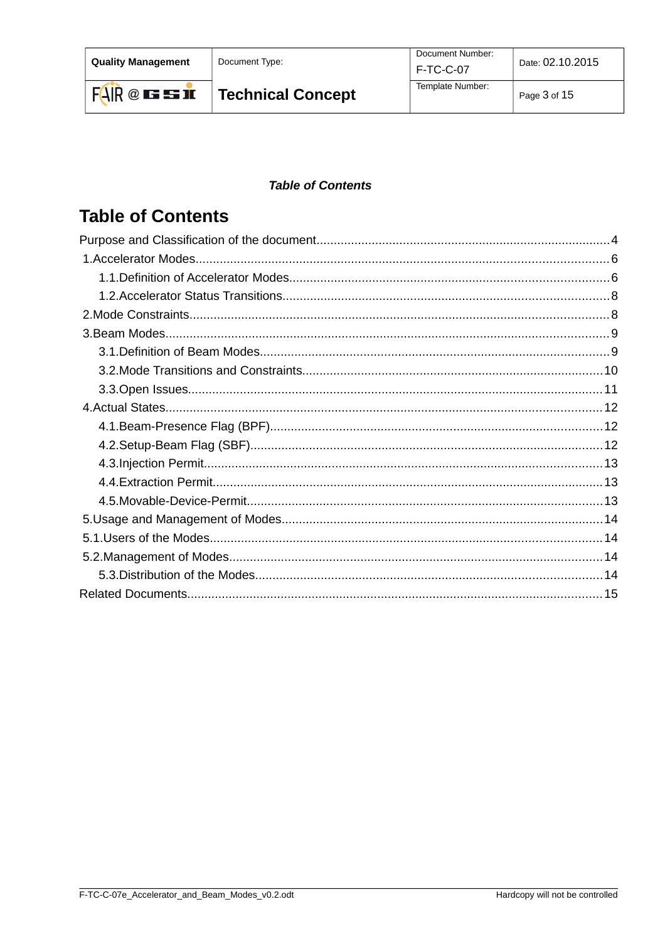**Quality Management** 

Document Type:

### **Table of Contents**

# **Table of Contents**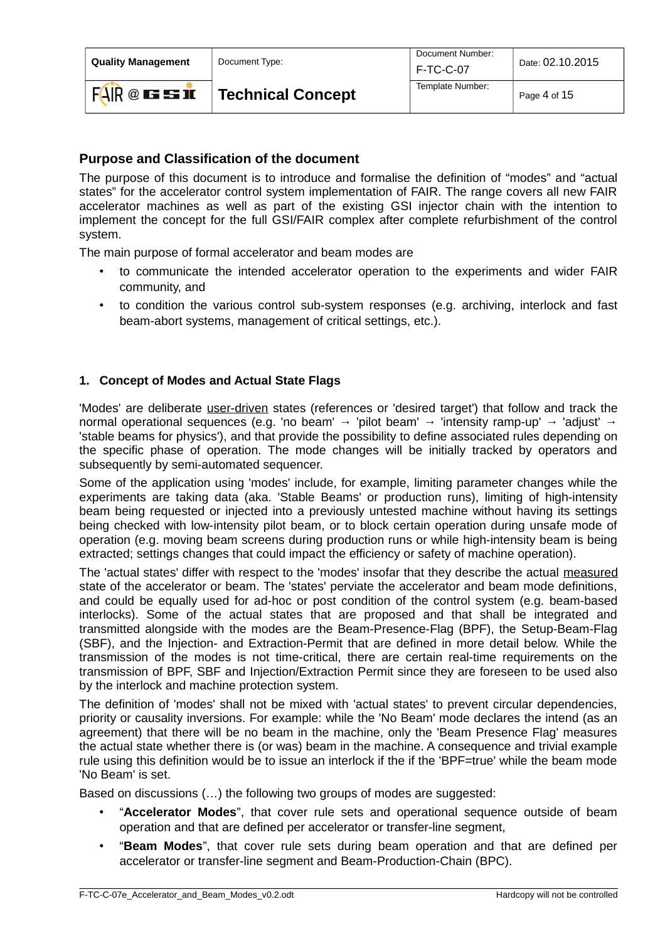**Quality Management** | Document Type:

 $FAIR@$  is so in

Document Number:

## <span id="page-3-0"></span>**Purpose and Classification of the document**

The purpose of this document is to introduce and formalise the definition of "modes" and "actual states" for the accelerator control system implementation of FAIR. The range covers all new FAIR accelerator machines as well as part of the existing GSI injector chain with the intention to implement the concept for the full GSI/FAIR complex after complete refurbishment of the control system.

The main purpose of formal accelerator and beam modes are

- to communicate the intended accelerator operation to the experiments and wider FAIR community, and
- to condition the various control sub-system responses (e.g. archiving, interlock and fast beam-abort systems, management of critical settings, etc.).

### **1. Concept of Modes and Actual State Flags**

'Modes' are deliberate user-driven states (references or 'desired target') that follow and track the normal operational sequences (e.g. 'no beam' → 'pilot beam' → 'intensity ramp-up' → 'adjust' → 'stable beams for physics'), and that provide the possibility to define associated rules depending on the specific phase of operation. The mode changes will be initially tracked by operators and subsequently by semi-automated sequencer.

Some of the application using 'modes' include, for example, limiting parameter changes while the experiments are taking data (aka. 'Stable Beams' or production runs), limiting of high-intensity beam being requested or injected into a previously untested machine without having its settings being checked with low-intensity pilot beam, or to block certain operation during unsafe mode of operation (e.g. moving beam screens during production runs or while high-intensity beam is being extracted; settings changes that could impact the efficiency or safety of machine operation).

The 'actual states' differ with respect to the 'modes' insofar that they describe the actual measured state of the accelerator or beam. The 'states' perviate the accelerator and beam mode definitions, and could be equally used for ad-hoc or post condition of the control system (e.g. beam-based interlocks). Some of the actual states that are proposed and that shall be integrated and transmitted alongside with the modes are the Beam-Presence-Flag (BPF), the Setup-Beam-Flag (SBF), and the Injection- and Extraction-Permit that are defined in more detail below. While the transmission of the modes is not time-critical, there are certain real-time requirements on the transmission of BPF, SBF and Injection/Extraction Permit since they are foreseen to be used also by the interlock and machine protection system.

The definition of 'modes' shall not be mixed with 'actual states' to prevent circular dependencies, priority or causality inversions. For example: while the 'No Beam' mode declares the intend (as an agreement) that there will be no beam in the machine, only the 'Beam Presence Flag' measures the actual state whether there is (or was) beam in the machine. A consequence and trivial example rule using this definition would be to issue an interlock if the if the 'BPF=true' while the beam mode 'No Beam' is set.

Based on discussions (…) the following two groups of modes are suggested:

- "**Accelerator Modes**", that cover rule sets and operational sequence outside of beam operation and that are defined per accelerator or transfer-line segment,
- "**Beam Modes**", that cover rule sets during beam operation and that are defined per accelerator or transfer-line segment and Beam-Production-Chain (BPC).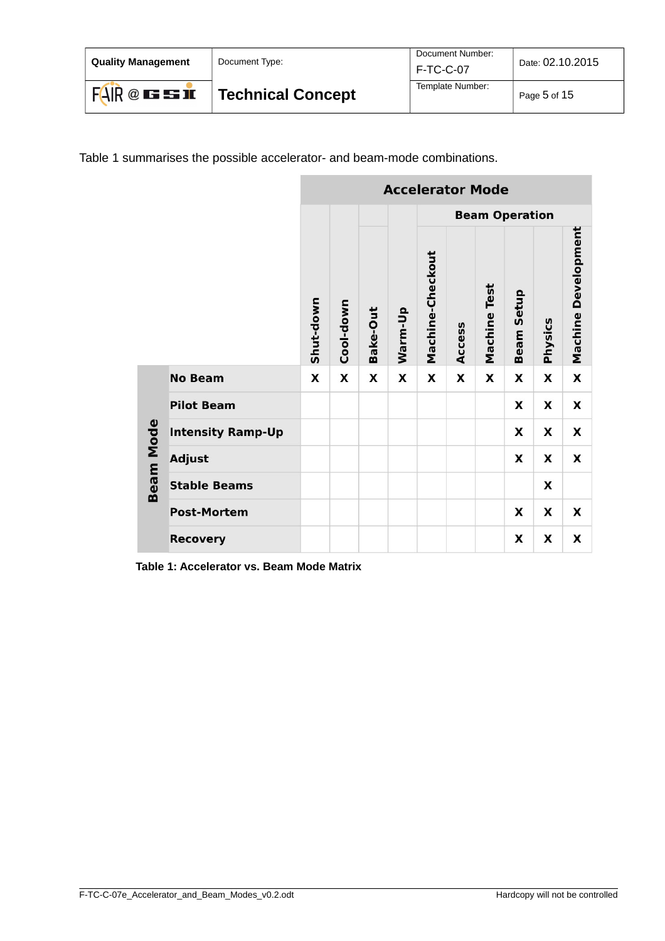| <b>Ouality Management</b> | Document Type:    | Document Number:<br>  F-TC-C-07 | Date: 02.10.2015 |
|---------------------------|-------------------|---------------------------------|------------------|
| FAR @EBE                  | Technical Concept | Template Number:                | Page 5 of 15     |

Table [1](#page-4-0) summarises the possible accelerator- and beam-mode combinations.

|                  |                          | <b>Accelerator Mode</b> |           |          |         |                  |        |                     |                       |         |                     |
|------------------|--------------------------|-------------------------|-----------|----------|---------|------------------|--------|---------------------|-----------------------|---------|---------------------|
|                  |                          |                         |           |          |         |                  |        |                     | <b>Beam Operation</b> |         |                     |
|                  |                          | Shut-down               | Cool-down | Bake-Out | Warm-Up | Machine-Checkout | Access | <b>Machine Test</b> | <b>Beam Setup</b>     | Physics | Machine Development |
|                  | <b>No Beam</b>           | X                       | X         | X        | X       | X                | X      | X                   | X                     | x       | X                   |
|                  | <b>Pilot Beam</b>        |                         |           |          |         |                  |        |                     | x                     | x       | X                   |
|                  | <b>Intensity Ramp-Up</b> |                         |           |          |         |                  |        |                     | X                     | X       | X                   |
| <b>Beam Mode</b> | <b>Adjust</b>            |                         |           |          |         |                  |        |                     | X                     | X       | X                   |
|                  | <b>Stable Beams</b>      |                         |           |          |         |                  |        |                     |                       | X       |                     |
|                  | <b>Post-Mortem</b>       |                         |           |          |         |                  |        |                     | X                     | x       | X                   |
|                  | <b>Recovery</b>          |                         |           |          |         |                  |        |                     | X                     | X       | X                   |

<span id="page-4-0"></span>**Table 1: Accelerator vs. Beam Mode Matrix**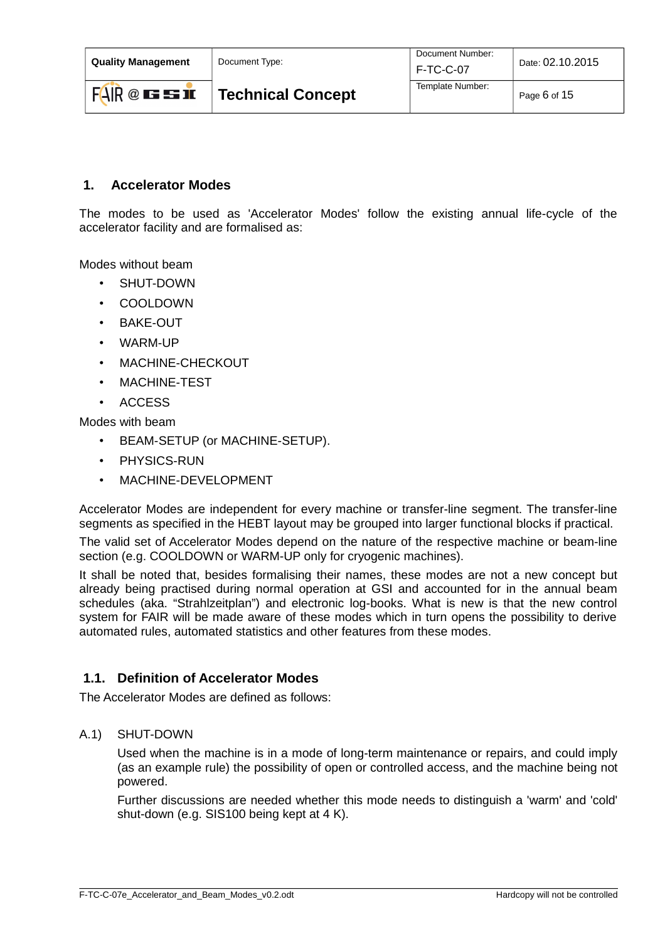| <b>Ouality Management</b> | Document Type:           | Document Number:<br>F-TC-C-07 | Date: 02.10.2015 |
|---------------------------|--------------------------|-------------------------------|------------------|
| $FAIR@$ is so in          | <b>Technical Concept</b> | Template Number:              | Page 6 of 15     |

### <span id="page-5-1"></span> **1. Accelerator Modes**

The modes to be used as 'Accelerator Modes' follow the existing annual life-cycle of the accelerator facility and are formalised as:

Modes without beam

- SHUT-DOWN
- COOLDOWN
- BAKE-OUT
- WARM-UP
- MACHINE-CHECKOUT
- MACHINE-TEST
- ACCESS

Modes with beam

- BEAM-SETUP (or MACHINE-SETUP).
- PHYSICS-RUN
- MACHINE-DEVELOPMENT

Accelerator Modes are independent for every machine or transfer-line segment. The transfer-line segments as specified in the HEBT layout may be grouped into larger functional blocks if practical.

The valid set of Accelerator Modes depend on the nature of the respective machine or beam-line section (e.g. COOLDOWN or WARM-UP only for cryogenic machines).

It shall be noted that, besides formalising their names, these modes are not a new concept but already being practised during normal operation at GSI and accounted for in the annual beam schedules (aka. "Strahlzeitplan") and electronic log-books. What is new is that the new control system for FAIR will be made aware of these modes which in turn opens the possibility to derive automated rules, automated statistics and other features from these modes.

### <span id="page-5-0"></span> **1.1. Definition of Accelerator Modes**

The Accelerator Modes are defined as follows:

#### A.1) SHUT-DOWN

Used when the machine is in a mode of long-term maintenance or repairs, and could imply (as an example rule) the possibility of open or controlled access, and the machine being not powered.

Further discussions are needed whether this mode needs to distinguish a 'warm' and 'cold' shut-down (e.g. SIS100 being kept at 4 K).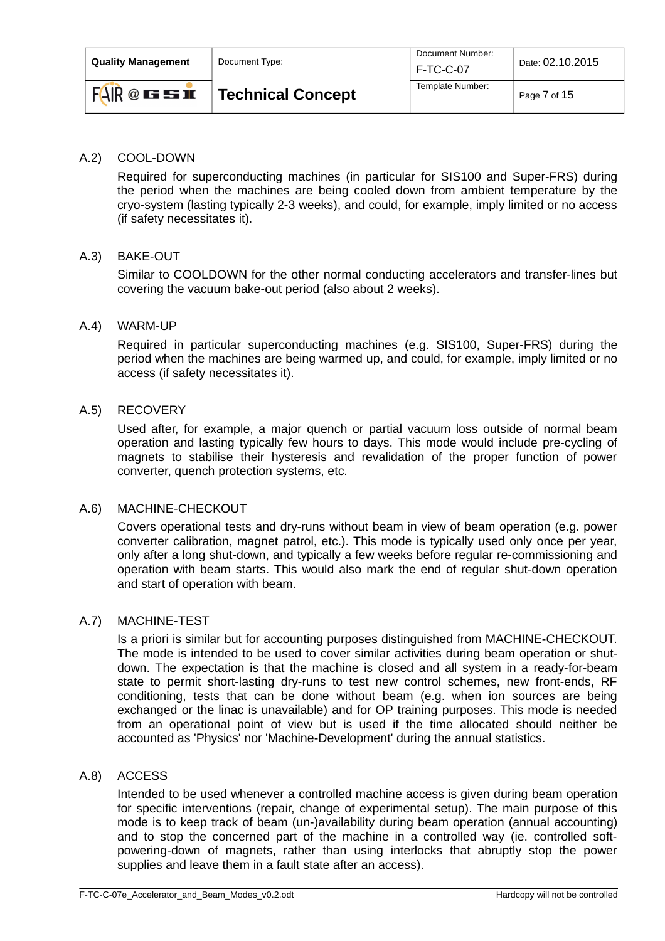| <b>Ouality Management</b> | Document Type:           | Document Number:<br><b>F-TC-C-07</b> | Date: 02.10.2015 |  |
|---------------------------|--------------------------|--------------------------------------|------------------|--|
| FAR @EBI                  | <b>Technical Concept</b> | Template Number:                     | Page 7 of 15     |  |

### A.2) COOL-DOWN

Required for superconducting machines (in particular for SIS100 and Super-FRS) during the period when the machines are being cooled down from ambient temperature by the cryo-system (lasting typically 2-3 weeks), and could, for example, imply limited or no access (if safety necessitates it).

#### A.3) BAKE-OUT

Similar to COOLDOWN for the other normal conducting accelerators and transfer-lines but covering the vacuum bake-out period (also about 2 weeks).

#### A.4) WARM-UP

Required in particular superconducting machines (e.g. SIS100, Super-FRS) during the period when the machines are being warmed up, and could, for example, imply limited or no access (if safety necessitates it).

#### A.5) RECOVERY

Used after, for example, a major quench or partial vacuum loss outside of normal beam operation and lasting typically few hours to days. This mode would include pre-cycling of magnets to stabilise their hysteresis and revalidation of the proper function of power converter, quench protection systems, etc.

#### A.6) MACHINE-CHECKOUT

Covers operational tests and dry-runs without beam in view of beam operation (e.g. power converter calibration, magnet patrol, etc.). This mode is typically used only once per year, only after a long shut-down, and typically a few weeks before regular re-commissioning and operation with beam starts. This would also mark the end of regular shut-down operation and start of operation with beam.

#### A.7) MACHINE-TEST

Is a priori is similar but for accounting purposes distinguished from MACHINE-CHECKOUT. The mode is intended to be used to cover similar activities during beam operation or shutdown. The expectation is that the machine is closed and all system in a ready-for-beam state to permit short-lasting dry-runs to test new control schemes, new front-ends, RF conditioning, tests that can be done without beam (e.g. when ion sources are being exchanged or the linac is unavailable) and for OP training purposes. This mode is needed from an operational point of view but is used if the time allocated should neither be accounted as 'Physics' nor 'Machine-Development' during the annual statistics.

#### A.8) ACCESS

Intended to be used whenever a controlled machine access is given during beam operation for specific interventions (repair, change of experimental setup). The main purpose of this mode is to keep track of beam (un-)availability during beam operation (annual accounting) and to stop the concerned part of the machine in a controlled way (ie. controlled softpowering-down of magnets, rather than using interlocks that abruptly stop the power supplies and leave them in a fault state after an access).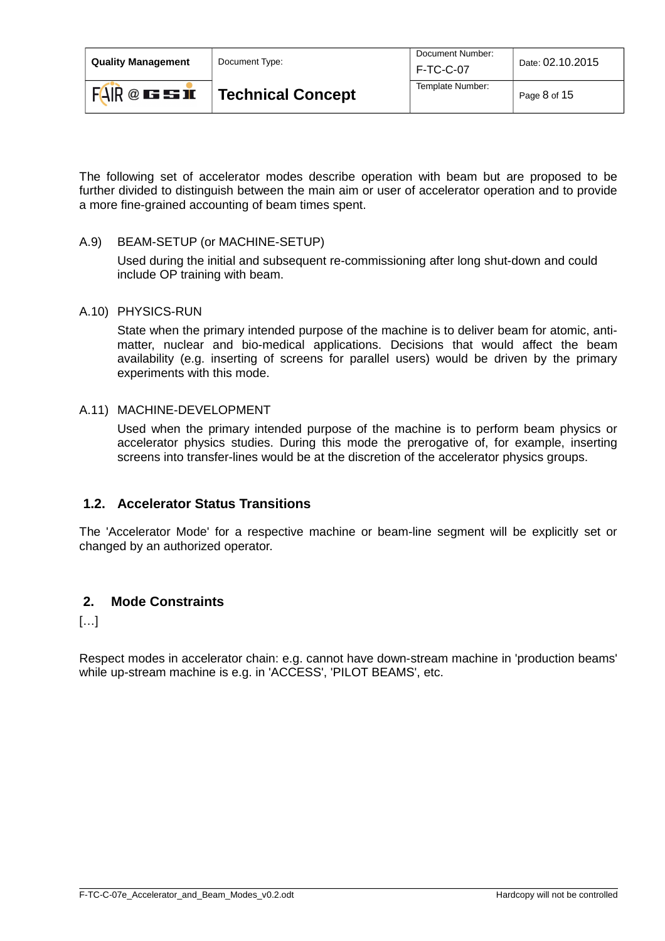| <b>Ouality Management</b> | Document Type:           | Document Number:<br><b>F-TC-C-07</b> | Date: 02.10.2015 |
|---------------------------|--------------------------|--------------------------------------|------------------|
| FAR @EBE                  | <b>Technical Concept</b> | Template Number:                     | Page 8 of 15     |

The following set of accelerator modes describe operation with beam but are proposed to be further divided to distinguish between the main aim or user of accelerator operation and to provide a more fine-grained accounting of beam times spent.

### A.9) BEAM-SETUP (or MACHINE-SETUP)

Used during the initial and subsequent re-commissioning after long shut-down and could include OP training with beam.

#### A.10) PHYSICS-RUN

State when the primary intended purpose of the machine is to deliver beam for atomic, antimatter, nuclear and bio-medical applications. Decisions that would affect the beam availability (e.g. inserting of screens for parallel users) would be driven by the primary experiments with this mode.

### A.11) MACHINE-DEVELOPMENT

Used when the primary intended purpose of the machine is to perform beam physics or accelerator physics studies. During this mode the prerogative of, for example, inserting screens into transfer-lines would be at the discretion of the accelerator physics groups.

### <span id="page-7-1"></span> **1.2. Accelerator Status Transitions**

The 'Accelerator Mode' for a respective machine or beam-line segment will be explicitly set or changed by an authorized operator.

### <span id="page-7-0"></span> **2. Mode Constraints**

[…]

Respect modes in accelerator chain: e.g. cannot have down-stream machine in 'production beams' while up-stream machine is e.g. in 'ACCESS', 'PILOT BEAMS', etc.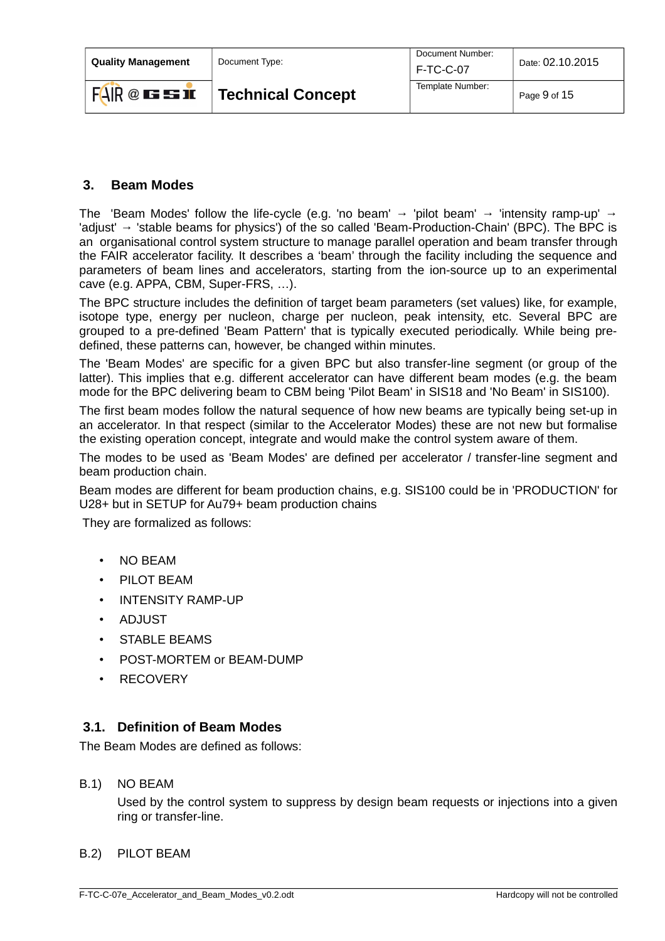| <b>Ouality Management</b> | Document Type:           | Document Number:<br><b>F-TC-C-07</b> | Date: 02.10.2015 |
|---------------------------|--------------------------|--------------------------------------|------------------|
| $FAR @ \nightharpoonup F$ | <b>Technical Concept</b> | Template Number:                     | Page 9 of 15     |

### <span id="page-8-1"></span> **3. Beam Modes**

The 'Beam Modes' follow the life-cycle (e.g. 'no beam'  $\rightarrow$  'pilot beam'  $\rightarrow$  'intensity ramp-up'  $\rightarrow$ 'adjust' → 'stable beams for physics') of the so called 'Beam-Production-Chain' (BPC). The BPC is an organisational control system structure to manage parallel operation and beam transfer through the FAIR accelerator facility. It describes a 'beam' through the facility including the sequence and parameters of beam lines and accelerators, starting from the ion-source up to an experimental cave (e.g. APPA, CBM, Super-FRS, …).

The BPC structure includes the definition of target beam parameters (set values) like, for example, isotope type, energy per nucleon, charge per nucleon, peak intensity, etc. Several BPC are grouped to a pre-defined 'Beam Pattern' that is typically executed periodically. While being predefined, these patterns can, however, be changed within minutes.

The 'Beam Modes' are specific for a given BPC but also transfer-line segment (or group of the latter). This implies that e.g. different accelerator can have different beam modes (e.g. the beam mode for the BPC delivering beam to CBM being 'Pilot Beam' in SIS18 and 'No Beam' in SIS100).

The first beam modes follow the natural sequence of how new beams are typically being set-up in an accelerator. In that respect (similar to the Accelerator Modes) these are not new but formalise the existing operation concept, integrate and would make the control system aware of them.

The modes to be used as 'Beam Modes' are defined per accelerator / transfer-line segment and beam production chain.

Beam modes are different for beam production chains, e.g. SIS100 could be in 'PRODUCTION' for U28+ but in SETUP for Au79+ beam production chains

They are formalized as follows:

- NO BEAM
- PILOT BEAM
- INTENSITY RAMP-UP
- ADJUST
- STABLE BEAMS
- POST-MORTEM or BEAM-DUMP
- RECOVERY

### <span id="page-8-0"></span> **3.1. Definition of Beam Modes**

The Beam Modes are defined as follows:

B.1) NO BEAM

Used by the control system to suppress by design beam requests or injections into a given ring or transfer-line.

#### B.2) PILOT BEAM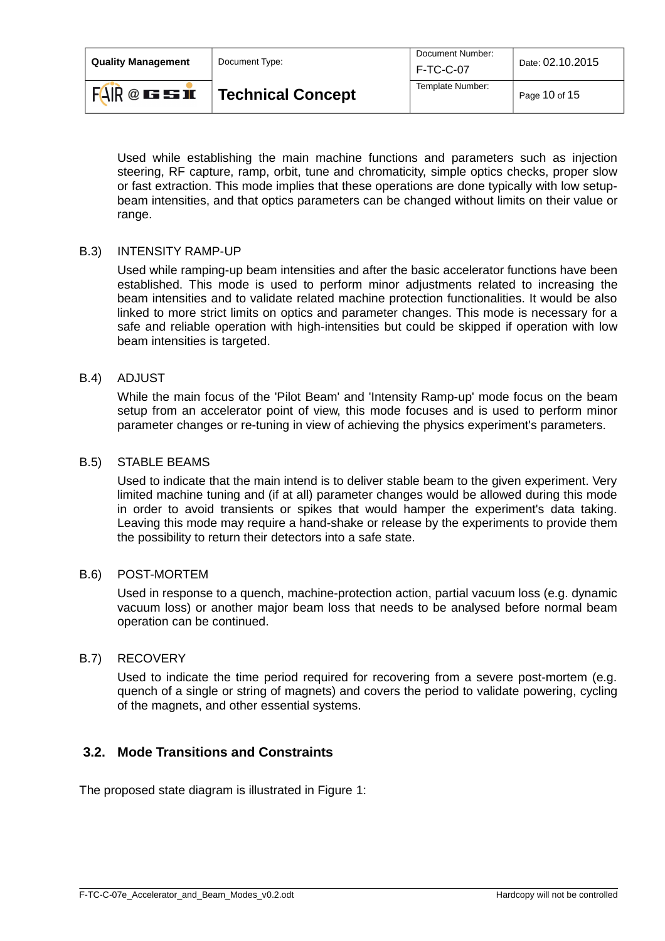| <b>Ouality Management</b> | Document Type:           | Document Number:<br>F-TC-C-07 | Date: 02.10.2015 |
|---------------------------|--------------------------|-------------------------------|------------------|
| FAR @EBE                  | <b>Technical Concept</b> | Template Number:              | Page 10 of 15    |

Used while establishing the main machine functions and parameters such as injection steering, RF capture, ramp, orbit, tune and chromaticity, simple optics checks, proper slow or fast extraction. This mode implies that these operations are done typically with low setupbeam intensities, and that optics parameters can be changed without limits on their value or range.

#### B.3) INTENSITY RAMP-UP

Used while ramping-up beam intensities and after the basic accelerator functions have been established. This mode is used to perform minor adjustments related to increasing the beam intensities and to validate related machine protection functionalities. It would be also linked to more strict limits on optics and parameter changes. This mode is necessary for a safe and reliable operation with high-intensities but could be skipped if operation with low beam intensities is targeted.

#### B.4) ADJUST

While the main focus of the 'Pilot Beam' and 'Intensity Ramp-up' mode focus on the beam setup from an accelerator point of view, this mode focuses and is used to perform minor parameter changes or re-tuning in view of achieving the physics experiment's parameters.

#### B.5) STABLE BEAMS

Used to indicate that the main intend is to deliver stable beam to the given experiment. Very limited machine tuning and (if at all) parameter changes would be allowed during this mode in order to avoid transients or spikes that would hamper the experiment's data taking. Leaving this mode may require a hand-shake or release by the experiments to provide them the possibility to return their detectors into a safe state.

#### B.6) POST-MORTEM

Used in response to a quench, machine-protection action, partial vacuum loss (e.g. dynamic vacuum loss) or another major beam loss that needs to be analysed before normal beam operation can be continued.

#### B.7) RECOVERY

Used to indicate the time period required for recovering from a severe post-mortem (e.g. quench of a single or string of magnets) and covers the period to validate powering, cycling of the magnets, and other essential systems.

### <span id="page-9-0"></span> **3.2. Mode Transitions and Constraints**

The proposed state diagram is illustrated in Figure [1:](#page-10-1)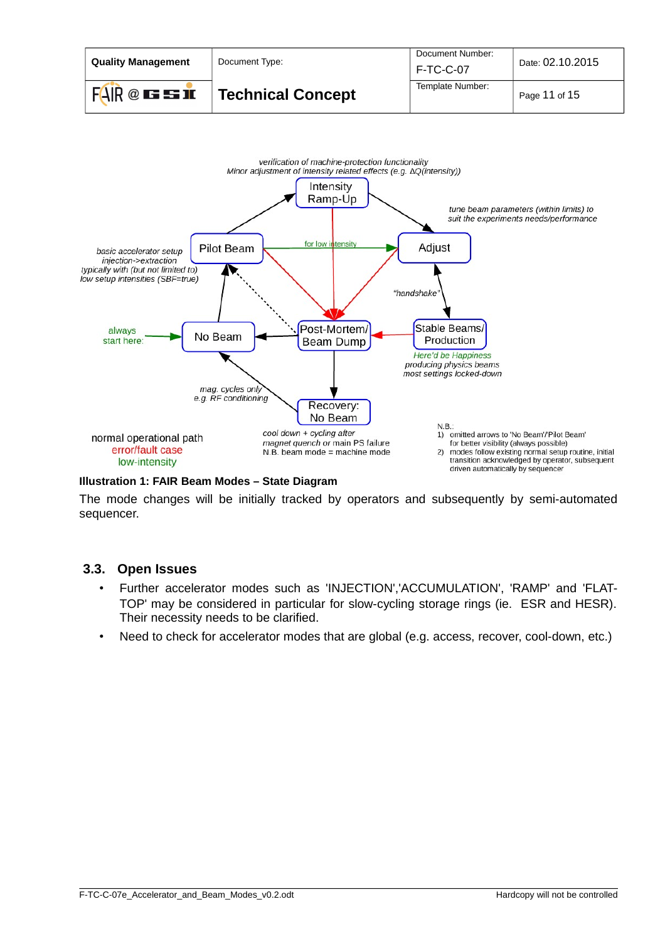



#### <span id="page-10-1"></span>**Illustration 1: FAIR Beam Modes – State Diagram**

The mode changes will be initially tracked by operators and subsequently by semi-automated sequencer.

#### **3.3. Open Issues**

- <span id="page-10-0"></span>• Further accelerator modes such as 'INJECTION','ACCUMULATION', 'RAMP' and 'FLAT-TOP' may be considered in particular for slow-cycling storage rings (ie. ESR and HESR). Their necessity needs to be clarified.
- Need to check for accelerator modes that are global (e.g. access, recover, cool-down, etc.)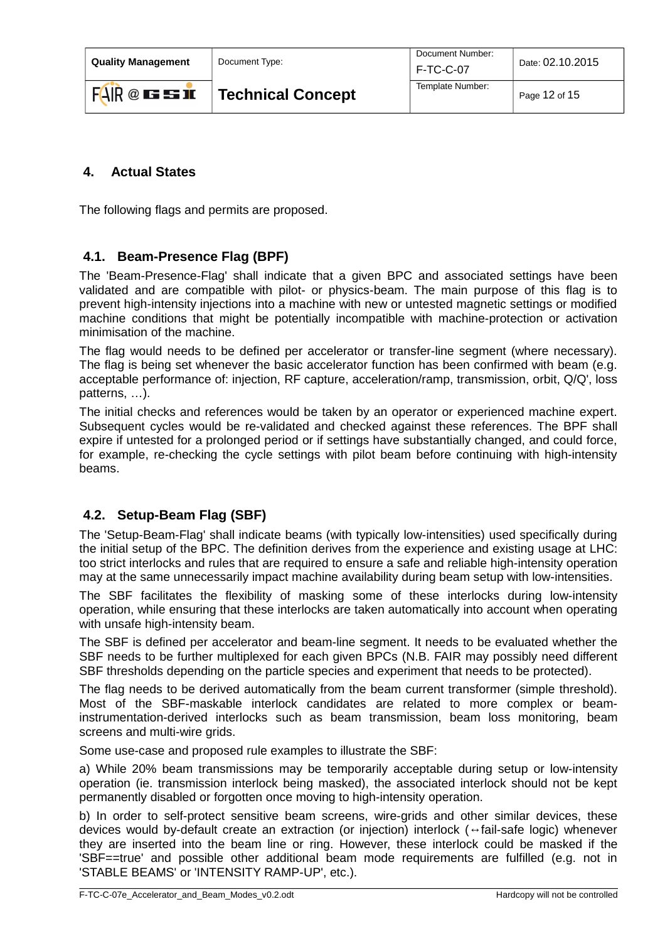| <b>Ouality Management</b> | Document Type:           | Document Number:<br>F-TC-C-07 | Date: 02.10.2015 |
|---------------------------|--------------------------|-------------------------------|------------------|
| $FAIR@$ is so in          | <b>Technical Concept</b> | Template Number:              | Page 12 of 15    |

# <span id="page-11-2"></span> **4. Actual States**

The following flags and permits are proposed.

### <span id="page-11-1"></span> **4.1. Beam-Presence Flag (BPF)**

The 'Beam-Presence-Flag' shall indicate that a given BPC and associated settings have been validated and are compatible with pilot- or physics-beam. The main purpose of this flag is to prevent high-intensity injections into a machine with new or untested magnetic settings or modified machine conditions that might be potentially incompatible with machine-protection or activation minimisation of the machine.

The flag would needs to be defined per accelerator or transfer-line segment (where necessary). The flag is being set whenever the basic accelerator function has been confirmed with beam (e.g. acceptable performance of: injection, RF capture, acceleration/ramp, transmission, orbit, Q/Q', loss patterns, …).

The initial checks and references would be taken by an operator or experienced machine expert. Subsequent cycles would be re-validated and checked against these references. The BPF shall expire if untested for a prolonged period or if settings have substantially changed, and could force, for example, re-checking the cycle settings with pilot beam before continuing with high-intensity beams.

# <span id="page-11-0"></span> **4.2. Setup-Beam Flag (SBF)**

The 'Setup-Beam-Flag' shall indicate beams (with typically low-intensities) used specifically during the initial setup of the BPC. The definition derives from the experience and existing usage at LHC: too strict interlocks and rules that are required to ensure a safe and reliable high-intensity operation may at the same unnecessarily impact machine availability during beam setup with low-intensities.

The SBF facilitates the flexibility of masking some of these interlocks during low-intensity operation, while ensuring that these interlocks are taken automatically into account when operating with unsafe high-intensity beam.

The SBF is defined per accelerator and beam-line segment. It needs to be evaluated whether the SBF needs to be further multiplexed for each given BPCs (N.B. FAIR may possibly need different SBF thresholds depending on the particle species and experiment that needs to be protected).

The flag needs to be derived automatically from the beam current transformer (simple threshold). Most of the SBF-maskable interlock candidates are related to more complex or beaminstrumentation-derived interlocks such as beam transmission, beam loss monitoring, beam screens and multi-wire grids.

Some use-case and proposed rule examples to illustrate the SBF:

a) While 20% beam transmissions may be temporarily acceptable during setup or low-intensity operation (ie. transmission interlock being masked), the associated interlock should not be kept permanently disabled or forgotten once moving to high-intensity operation.

b) In order to self-protect sensitive beam screens, wire-grids and other similar devices, these devices would by-default create an extraction (or injection) interlock (↔fail-safe logic) whenever they are inserted into the beam line or ring. However, these interlock could be masked if the 'SBF==true' and possible other additional beam mode requirements are fulfilled (e.g. not in 'STABLE BEAMS' or 'INTENSITY RAMP-UP', etc.).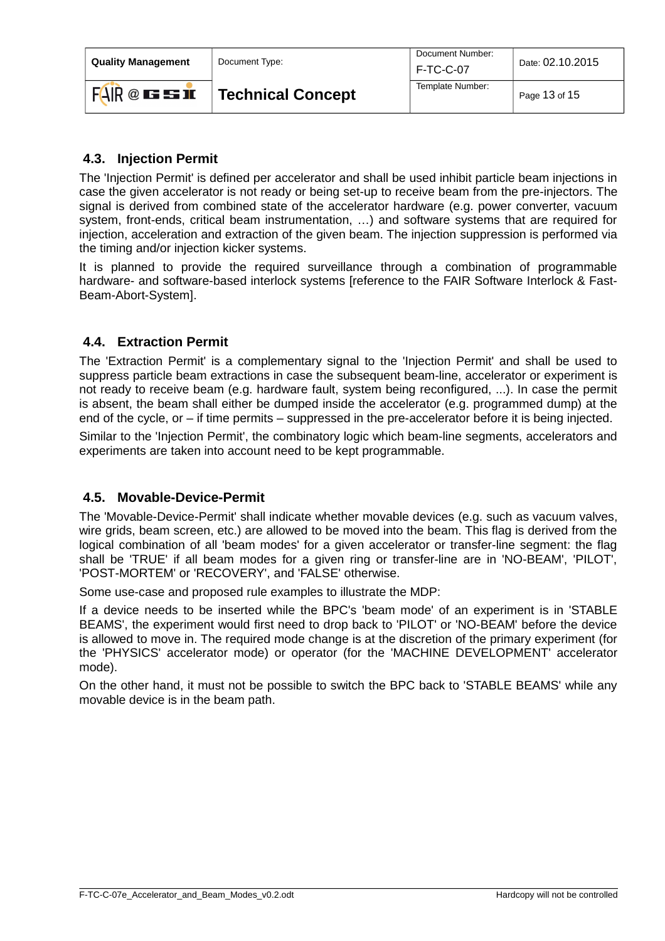| <b>Ouality Management</b> | Document Type:           | Document Number:<br><b>F-TC-C-07</b> | Date: 02.10.2015  |
|---------------------------|--------------------------|--------------------------------------|-------------------|
| FAR @EBE                  | <b>Technical Concept</b> | Template Number:                     | Page $13$ of $15$ |

### <span id="page-12-2"></span> **4.3. Injection Permit**

The 'Injection Permit' is defined per accelerator and shall be used inhibit particle beam injections in case the given accelerator is not ready or being set-up to receive beam from the pre-injectors. The signal is derived from combined state of the accelerator hardware (e.g. power converter, vacuum system, front-ends, critical beam instrumentation, …) and software systems that are required for injection, acceleration and extraction of the given beam. The injection suppression is performed via the timing and/or injection kicker systems.

It is planned to provide the required surveillance through a combination of programmable hardware- and software-based interlock systems [reference to the FAIR Software Interlock & Fast-Beam-Abort-System].

### <span id="page-12-1"></span> **4.4. Extraction Permit**

The 'Extraction Permit' is a complementary signal to the 'Injection Permit' and shall be used to suppress particle beam extractions in case the subsequent beam-line, accelerator or experiment is not ready to receive beam (e.g. hardware fault, system being reconfigured, ...). In case the permit is absent, the beam shall either be dumped inside the accelerator (e.g. programmed dump) at the end of the cycle, or – if time permits – suppressed in the pre-accelerator before it is being injected.

Similar to the 'Injection Permit', the combinatory logic which beam-line segments, accelerators and experiments are taken into account need to be kept programmable.

### <span id="page-12-0"></span> **4.5. Movable-Device-Permit**

The 'Movable-Device-Permit' shall indicate whether movable devices (e.g. such as vacuum valves, wire grids, beam screen, etc.) are allowed to be moved into the beam. This flag is derived from the logical combination of all 'beam modes' for a given accelerator or transfer-line segment: the flag shall be 'TRUE' if all beam modes for a given ring or transfer-line are in 'NO-BEAM', 'PILOT', 'POST-MORTEM' or 'RECOVERY', and 'FALSE' otherwise.

Some use-case and proposed rule examples to illustrate the MDP:

If a device needs to be inserted while the BPC's 'beam mode' of an experiment is in 'STABLE BEAMS', the experiment would first need to drop back to 'PILOT' or 'NO-BEAM' before the device is allowed to move in. The required mode change is at the discretion of the primary experiment (for the 'PHYSICS' accelerator mode) or operator (for the 'MACHINE DEVELOPMENT' accelerator mode).

On the other hand, it must not be possible to switch the BPC back to 'STABLE BEAMS' while any movable device is in the beam path.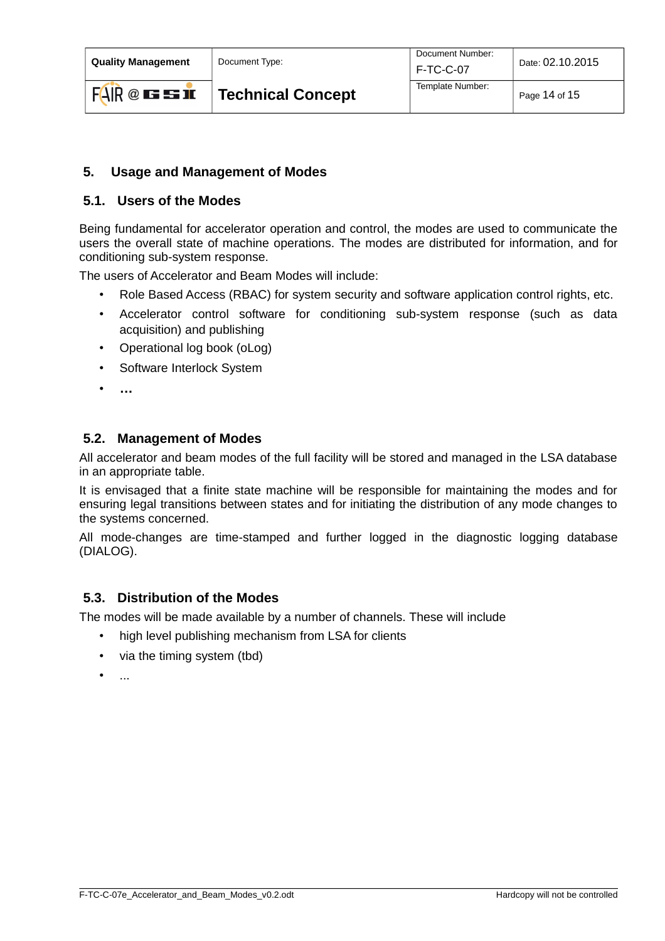**Quality Management** | Document Type:

### <span id="page-13-3"></span> **5. Usage and Management of Modes**

### <span id="page-13-2"></span> **5.1. Users of the Modes**

Being fundamental for accelerator operation and control, the modes are used to communicate the users the overall state of machine operations. The modes are distributed for information, and for conditioning sub-system response.

The users of Accelerator and Beam Modes will include:

- Role Based Access (RBAC) for system security and software application control rights, etc.
- Accelerator control software for conditioning sub-system response (such as data acquisition) and publishing
- Operational log book (oLog)
- Software Interlock System
- **…**

### <span id="page-13-1"></span> **5.2. Management of Modes**

All accelerator and beam modes of the full facility will be stored and managed in the LSA database in an appropriate table.

It is envisaged that a finite state machine will be responsible for maintaining the modes and for ensuring legal transitions between states and for initiating the distribution of any mode changes to the systems concerned.

All mode-changes are time-stamped and further logged in the diagnostic logging database (DIALOG).

### <span id="page-13-0"></span> **5.3. Distribution of the Modes**

The modes will be made available by a number of channels. These will include

- high level publishing mechanism from LSA for clients
- via the timing system (tbd)
- $\bullet$  ....